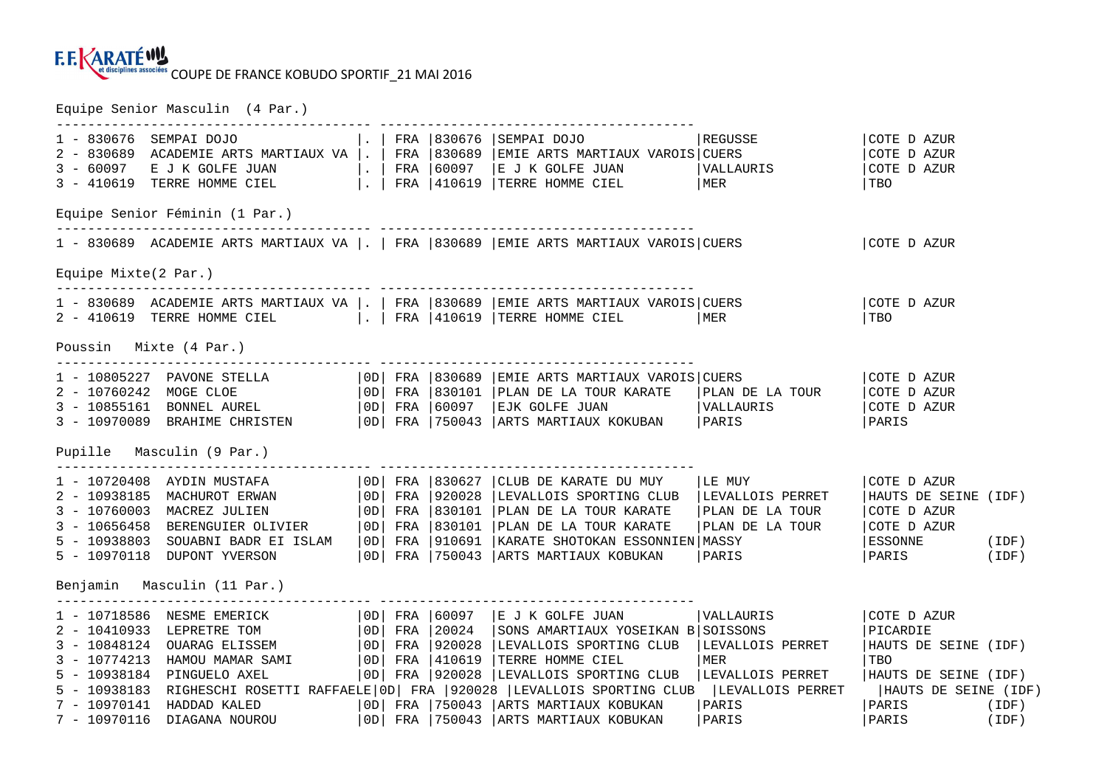

Equipe Senior Masculin (4 Par.)

| 1 - 830676                  | .   FRA   830676<br>SEMPAI DOJO<br>2 - 830689 ACADEMIE ARTS MARTIAUX VA   .   FRA   830689  <br>Equipe Senior Féminin (1 Par.)                                                                                                             |  |  |  | SEMPAI DOJO<br>EMIE ARTS MARTIAUX VAROIS CUERS<br>3 – 60097 E J K GOLFE JUAN   .   FRA   60097   E J K GOLFE JUAN   VALLAURIS<br>3 – 410619 TERRE HOMME CIEL   .   FRA   410619   TERRE HOMME CIEL   MER                                                                                                                                                                                                                                                                                         | REGUSSE                                 | COTE D AZUR<br>COTE D AZUR<br>COTE D AZUR<br>  TBO                                                                 |       |
|-----------------------------|--------------------------------------------------------------------------------------------------------------------------------------------------------------------------------------------------------------------------------------------|--|--|--|--------------------------------------------------------------------------------------------------------------------------------------------------------------------------------------------------------------------------------------------------------------------------------------------------------------------------------------------------------------------------------------------------------------------------------------------------------------------------------------------------|-----------------------------------------|--------------------------------------------------------------------------------------------------------------------|-------|
|                             |                                                                                                                                                                                                                                            |  |  |  | 1 - 830689 ACADEMIE ARTS MARTIAUX VA  .   FRA   830689   EMIE ARTS MARTIAUX VAROIS   CUERS                                                                                                                                                                                                                                                                                                                                                                                                       |                                         | COTE D AZUR                                                                                                        |       |
| Equipe Mixte $(2$ Par.)     |                                                                                                                                                                                                                                            |  |  |  |                                                                                                                                                                                                                                                                                                                                                                                                                                                                                                  |                                         |                                                                                                                    |       |
|                             | 2 - 410619 TERRE HOMME CIEL     FRA   410619   TERRE HOMME CIEL                                                                                                                                                                            |  |  |  | 1 - 830689 ACADEMIE ARTS MARTIAUX VA  .   FRA   830689   EMIE ARTS MARTIAUX VAROIS  CUERS                                                                                                                                                                                                                                                                                                                                                                                                        | MER<br>NER                              | ICOTE D AZUR<br>l TBO                                                                                              |       |
| Poussin Mixte (4 Par.)      |                                                                                                                                                                                                                                            |  |  |  |                                                                                                                                                                                                                                                                                                                                                                                                                                                                                                  |                                         |                                                                                                                    |       |
|                             | 1 - 10805227 PAVONE STELLA $ 0D $ FRA   830689<br>2 - 10760242 MOGE CLOE $ 0D $ FRA   830101<br>3 - 10855161 BONNEL AUREL $ 0D $ FRA   60097                                                                                               |  |  |  | EMIE ARTS MARTIAUX VAROIS CUERS<br>PLAN DE LA TOUR KARATE                                                                                                                                                                                                                                                                                                                                                                                                                                        | PLAN DE LA TOUR                         | COTE D AZUR<br>COTE D AZUR<br>COTE D AZUR<br>PARIS                                                                 |       |
|                             | Pupille Masculin (9 Par.)                                                                                                                                                                                                                  |  |  |  | _________________________                                                                                                                                                                                                                                                                                                                                                                                                                                                                        |                                         |                                                                                                                    |       |
|                             | $1 - 10720408$ AYDIN MUSTAFA $ 0D $ FRA $ 830627$<br>5 - 10970118 DUPONT YVERSON                                                                                                                                                           |  |  |  | CLUB DE KARATE DU MUY<br>2 - 10938185 MACHUROT ERWAN (OD) FRA 920028 LEVALLOIS SPORTING CLUB LEVALLOIS PERRET<br>3 - 10760003 MACREZ JULIEN (OD) FRA 830101 PLAN DE LA TOUR KARATE PLAN DE LA TOUR<br>3 - 10656458 BERENGUIER OLIVIER (OD) FRA 830101 PLAN DE<br>  OD   FRA   750043   ARTS MARTIAUX KOBUKAN                                                                                                                                                                                     | LE MUY<br>PLAN DE LA TOUR<br>PARIS      | COTE D AZUR<br>HAUTS DE SEINE (IDF)<br>COTE D AZUR<br>COTE D AZUR<br> ESSONNE (IDF)<br>PARIS                       | (IDF) |
| Benjamin Masculin (11 Par.) |                                                                                                                                                                                                                                            |  |  |  |                                                                                                                                                                                                                                                                                                                                                                                                                                                                                                  |                                         |                                                                                                                    |       |
|                             | 1 - 10718586 NESME EMERICK   OD  FRA   60097<br>2 - 10410933 LEPRETRE TOM (0D FRA 20024 SONS AMARTIAUX YC<br>3 - 10848124 OUARAG ELISSEM (0D FRA 920028 LEVALLOIS SPORTIN<br>3 - 10774213 HAMOU MAMAR SAMI (0D FRA 410619 TERRE HOMME CIEL |  |  |  | E J K GOLFE JUAN<br>SONS AMARTIAUX YOSEIKAN B SOISSONS<br>LEVALLOIS SPORTING CLUB   LEVALLOIS PERRET<br>5 - 10938184 PINGUELO AXEL   0D   FRA   920028   LEVALLOIS SPORTING CLUB   LEVALLOIS PERRET<br>5 - 10938183 RIGHESCHI ROSETTI RAFFAELE OD   FRA   920028   LEVALLOIS SPORTING CLUB   LEVALLOIS PERRET   HAUTS DE SEINE (IDF)<br>7 - 10970141 HADDAD KALED   0D   FRA   750043   ARTS MARTIAUX KOBUKAN<br>7 - 10970116 DIAGANA NOUROU   OD   FRA   750043   ARTS MARTIAUX KOBUKAN   PARIS | <b>VALLAURIS</b><br>MER<br><b>PARIS</b> | COTE D AZUR<br>PICARDIE<br>HAUTS DE SEINE (IDF)<br>  TBO<br>HAUTS DE SEINE (IDF)<br>  PARIS (IDF)<br>  PARIS (IDF) |       |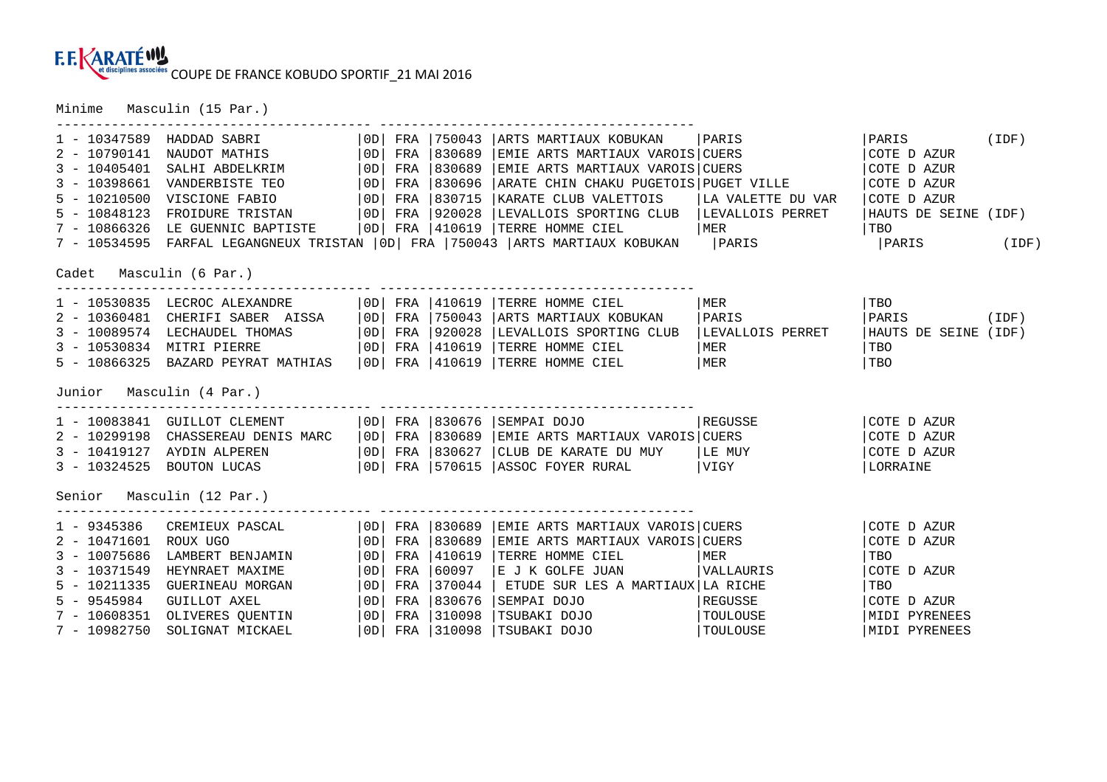## COUPE DE FRANCE KOBUDO SPORTIF\_21 MAI 2016

Minime Masculin (15 Par.)

| $1 - 10347589$           | HADDAD SABRI                                                                            | OD | FRA |             | 750043   ARTS MARTIAUX KOBUKAN   PARIS                                                                                                                                                                                               |           | PARIS                | (IDF) |
|--------------------------|-----------------------------------------------------------------------------------------|----|-----|-------------|--------------------------------------------------------------------------------------------------------------------------------------------------------------------------------------------------------------------------------------|-----------|----------------------|-------|
| $2 - 10790141$           |                                                                                         |    |     |             | FRA   750043   ARIS MARIIAUA NODUNAR<br>FRA   830689   EMIE ARTS MARTIAUX VAROIS   CUERS                                                                                                                                             |           | COTE D AZUR          |       |
| $3 - 10405401$           |                                                                                         |    | FRA |             | 830689   EMIE ARTS MARTIAUX VAROIS   CUERS                                                                                                                                                                                           |           | COTE D AZUR          |       |
| $3 - 10398661$           | VANDERBISTE TEO   OD                                                                    |    | FRA | 830696      | ARATE CHIN CHAKU PUGETOIS PUGET VILLE                                                                                                                                                                                                |           | COTE D AZUR          |       |
| $5 - 10210500$           |                                                                                         |    |     |             |                                                                                                                                                                                                                                      |           | COTE D AZUR          |       |
| $5 - 10848123$           |                                                                                         |    |     |             |                                                                                                                                                                                                                                      |           | HAUTS DE SEINE (IDF) |       |
|                          |                                                                                         |    |     |             |                                                                                                                                                                                                                                      |           | <b>TBO</b>           |       |
|                          |                                                                                         |    |     |             |                                                                                                                                                                                                                                      |           | PARIS (IDF)          |       |
| Cadet Masculin (6 Par.)  |                                                                                         |    |     |             |                                                                                                                                                                                                                                      |           |                      |       |
|                          | ----------------<br>1 - 10530835 LECROC ALEXANDRE   OD  FRA   410619   TERRE HOMME CIEL |    |     |             |                                                                                                                                                                                                                                      | MER       | TBO                  |       |
|                          |                                                                                         |    |     |             |                                                                                                                                                                                                                                      |           | $ PARIS$ (IDF)       |       |
|                          |                                                                                         |    |     |             |                                                                                                                                                                                                                                      |           | HAUTS DE SEINE (IDF) |       |
|                          |                                                                                         |    |     |             |                                                                                                                                                                                                                                      |           | TBO                  |       |
|                          |                                                                                         |    |     |             | 2 - 10360481 CHERIFI SABER AISSA (OD) FRA 750043 ARTS MARTIAUX KOBUKAN (PARIS<br>3 - 10089574 LECHAUDEL THOMAS (OD) FRA 920028 LEVALLOIS SPORTING CLUB LEVALLOIS PERRET<br>3 - 10530834 MITRI PIERRE (OD) FRA 410619 TERRE HOMME CIE |           | TBO                  |       |
| Junior Masculin (4 Par.) |                                                                                         |    |     |             |                                                                                                                                                                                                                                      |           |                      |       |
|                          | ------------ ----------                                                                 |    |     |             | 1981 - 10299198 CHASSEREAU DENIS MARC   UD  FRA   830676   SEMPAI DOJO   REGUSSE<br>3 - 10419127 AYDIN ALPEREN   IOD  FRA   830689   EMIE ARTS MARTIAUX VAROIS  CUERS<br>3 - 10419127 AYDIN ALPEREN   IOD  FRA   830627   CITID DE   |           | COTE D AZUR          |       |
|                          |                                                                                         |    |     |             |                                                                                                                                                                                                                                      |           | COTE D AZUR          |       |
|                          |                                                                                         |    |     |             | 3 - 10419127 AYDIN ALPEREN $\begin{vmatrix} 0 & p \\ p \end{vmatrix}$ FRA 830627 CLUB DE KARATE DU MUY LE MUY                                                                                                                        |           | COTE D AZUR          |       |
| $3 - 10324525$           |                                                                                         |    |     |             | BOUTON LUCAS   OD   FRA   570615   ASSOC FOYER RURAL   VIGY                                                                                                                                                                          |           | LORRAINE             |       |
|                          | Senior Masculin (12 Par.)                                                               |    |     |             |                                                                                                                                                                                                                                      |           |                      |       |
| $1 - 9345386$            | ----------------- -------------                                                         |    |     |             |                                                                                                                                                                                                                                      |           | COTE D AZUR          |       |
| $2 - 10471601$           |                                                                                         |    |     |             | CREMIEUX PASCAL   OD  FRA  830689  EMIE ARTS MARTIAUX VAROIS CUERS<br>ROUX UGO                    OD  FRA  830689  EMIE ARTS MARTIAUX VAROIS CUERS                                                                                   |           | COTE D AZUR          |       |
| $3 - 10075686$           | LAMBERT BENJAMIN                                                                        | OD | FRA | 410619      | TERRE HOMME CIEL                                                                                                                                                                                                                     | MER       | TBO                  |       |
| $3 - 10371549$           | HEYNRAET MAXIME                                                                         | OD | FRA | 60097       | E J K GOLFE JUAN                                                                                                                                                                                                                     | VALLAURIS | COTE D AZUR          |       |
| $5 - 10211335$           | GUERINEAU MORGAN                                                                        | OD | FRA | 370044      | ETUDE SUR LES A MARTIAUX LA RICHE                                                                                                                                                                                                    |           | TBO                  |       |
| $5 - 9545984$            | GUILLOT AXEL<br>$\vert$ OD $\vert$                                                      |    | FRA | 830676      | SEMPAI DOJO                                                                                                                                                                                                                          | REGUSSE   | COTE D AZUR          |       |
| 7 - 10608351             | OLIVERES QUENTIN                                                                        | OD | FRA | 310098      | TSUBAKI DOJO <b>REDU</b> TOULOUSE                                                                                                                                                                                                    |           | MIDI PYRENEES        |       |
| 7 - 10982750             | SOLIGNAT MICKAEL                                                                        | OD |     | FRA 1310098 | TSUBAKI DOJO                                                                                                                                                                                                                         | TOULOUSE  | MIDI PYRENEES        |       |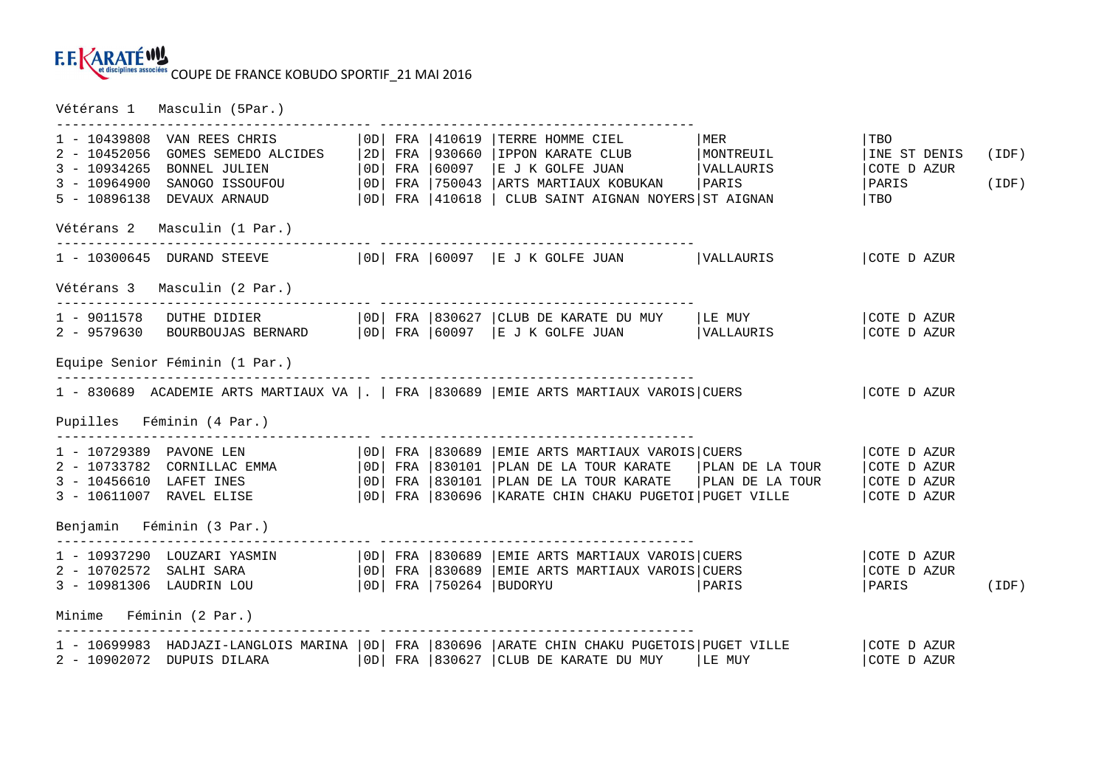COUPE DE FRANCE KOBUDO SPORTIF\_21 MAI 2016

Vétérans 1 Masculin (5Par.)

| 1 - 10439808 VAN REES CHRIS<br>$2 - 10452056$<br>$3 - 10934265$<br>$3 - 10964900$<br>5 - 10896138 DEVAUX ARNAUD | GOMES SEMEDO ALCIDES   2D   FRA   930660<br>$ 0D $ FRA $ 60097$<br>BONNEL JULIEN<br>SANOGO ISSOUFOU                                                             |  | 0D   FRA   750043    | TERRE HOMME CIEL<br>IPPON KARATE CLUB<br>$E$ J K GOLFE JUAN $ VALLAURIS$<br>ARTS MARTIAUX KOBUKAN<br>$ 0D $ FRA $ 410618$ $ $ CLUB SAINT AIGNAN NOYERS ST AIGNAN | MER<br>MONTREUIL<br>PARIS                                                                                                | TBO<br>INE ST DENIS<br>COTE D AZUR<br>PARIS<br>  TBO     | (IDF)<br>(IDF) |
|-----------------------------------------------------------------------------------------------------------------|-----------------------------------------------------------------------------------------------------------------------------------------------------------------|--|----------------------|------------------------------------------------------------------------------------------------------------------------------------------------------------------|--------------------------------------------------------------------------------------------------------------------------|----------------------------------------------------------|----------------|
| Vétérans 2 Masculin (1 Par.)                                                                                    |                                                                                                                                                                 |  |                      |                                                                                                                                                                  |                                                                                                                          |                                                          |                |
|                                                                                                                 | 1 - 10300645 DURAND STEEVE   OD  FRA   60097   E J K GOLFE JUAN   VALLAURIS                                                                                     |  |                      |                                                                                                                                                                  |                                                                                                                          | COTE D AZUR                                              |                |
| Vétérans 3 Masculin (2 Par.)                                                                                    |                                                                                                                                                                 |  |                      |                                                                                                                                                                  |                                                                                                                          |                                                          |                |
|                                                                                                                 | 1 - 9011578 DUTHE DIDIER   OD  FRA   830627   CLUB DE KARATE DU MUY   LE MUY<br>2 - 9579630 BOURBOUJAS BERNARD   OD  FRA   60097   E J K GOLFE JUAN   VALLAURIS |  |                      |                                                                                                                                                                  |                                                                                                                          | COTE D AZUR<br>COTE D AZUR                               |                |
| Equipe Senior Féminin (1 Par.)                                                                                  |                                                                                                                                                                 |  |                      |                                                                                                                                                                  |                                                                                                                          |                                                          |                |
|                                                                                                                 | 1 - 830689 ACADEMIE ARTS MARTIAUX VA  .   FRA   830689   EMIE ARTS MARTIAUX VAROIS   CUERS                                                                      |  |                      |                                                                                                                                                                  |                                                                                                                          | COTE D AZUR                                              |                |
| Pupilles Féminin (4 Par.)                                                                                       |                                                                                                                                                                 |  |                      |                                                                                                                                                                  |                                                                                                                          |                                                          |                |
| 1 - 10729389 PAVONE LEN                                                                                         | 2 - 10733782 CORNILLAC EMMA   OD  FRA   830101<br>3 - 10456610 LAFET INES<br>3 - 10611007 RAVEL ELISE                                                           |  | $ 0D $ FRA $ 830101$ | $\vert$ OD $\vert$ FRA $\vert$ 830689 $\vert$ EMIE ARTS MARTIAUX VAROIS CUERS<br>PLAN DE LA TOUR KARATE                                                          | PLAN DE LA TOUR<br>  PLAN DE LA TOUR KARATE   PLAN DE LA TOUR<br> OD  FRA  830696  KARATE CHIN CHAKU PUGETOI PUGET VILLE | COTE D AZUR<br>COTE D AZUR<br>COTE D AZUR<br>COTE D AZUR |                |
| Benjamin Féminin (3 Par.)                                                                                       |                                                                                                                                                                 |  |                      |                                                                                                                                                                  |                                                                                                                          |                                                          |                |
| 2 - 10702572 SALHI SARA<br>3 - 10981306 LAUDRIN LOU<br>Minime Féminin (2 Par.)                                  | 1 - 10937290 LOUZARI YASMIN   OD  FRA   830689   EMIE ARTS MARTIAUX VAROIS   CUERS                                                                              |  |                      | OD  FRA   830689   EMIE ARTS MARTIAUX VAROIS   CUERS<br>  OD   FRA   750264   BUDORYU                                                                            | PARIS                                                                                                                    | COTE D AZUR<br>COTE D AZUR<br>PARIS                      | (IDF)          |
| 2 - 10902072 DUPUIS DILARA                                                                                      | 1 - 10699983 HADJAZI-LANGLOIS MARINA   OD  FRA   830696   ARATE CHIN CHAKU PUGETOIS   PUGET VILLE                                                               |  |                      | $ 0D $ FRA $ 830627 $ CLUB DE KARATE DU MUY $ LE$ MUY                                                                                                            |                                                                                                                          | COTE D AZUR<br>COTE D AZUR                               |                |